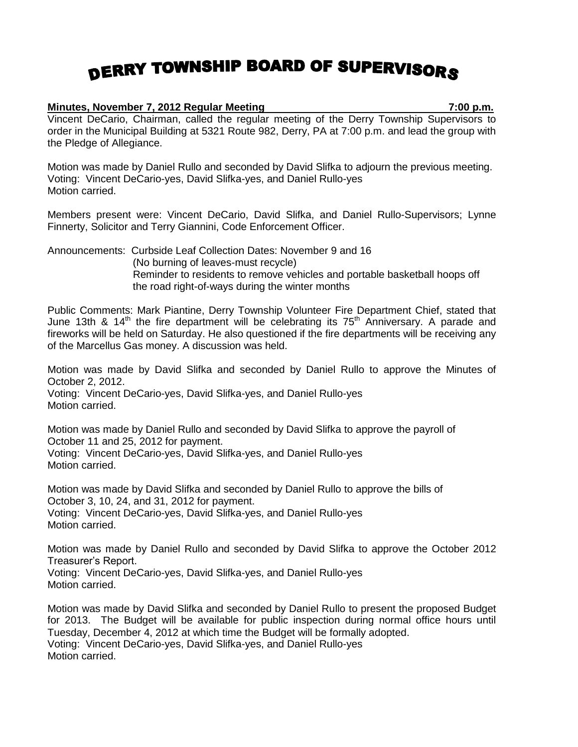## DERRY TOWNSHIP BOARD OF SUPERVISORS

## **Minutes, November 7, 2012 Regular Meeting 7:00 p.m.**

Vincent DeCario, Chairman, called the regular meeting of the Derry Township Supervisors to order in the Municipal Building at 5321 Route 982, Derry, PA at 7:00 p.m. and lead the group with the Pledge of Allegiance.

Motion was made by Daniel Rullo and seconded by David Slifka to adjourn the previous meeting. Voting: Vincent DeCario-yes, David Slifka-yes, and Daniel Rullo-yes Motion carried.

Members present were: Vincent DeCario, David Slifka, and Daniel Rullo-Supervisors; Lynne Finnerty, Solicitor and Terry Giannini, Code Enforcement Officer.

Announcements: Curbside Leaf Collection Dates: November 9 and 16 (No burning of leaves-must recycle) Reminder to residents to remove vehicles and portable basketball hoops off the road right-of-ways during the winter months

Public Comments: Mark Piantine, Derry Township Volunteer Fire Department Chief, stated that June 13th & 14<sup>th</sup> the fire department will be celebrating its  $75<sup>th</sup>$  Anniversary. A parade and fireworks will be held on Saturday. He also questioned if the fire departments will be receiving any of the Marcellus Gas money. A discussion was held.

Motion was made by David Slifka and seconded by Daniel Rullo to approve the Minutes of October 2, 2012. Voting: Vincent DeCario-yes, David Slifka-yes, and Daniel Rullo-yes Motion carried.

Motion was made by Daniel Rullo and seconded by David Slifka to approve the payroll of October 11 and 25, 2012 for payment. Voting: Vincent DeCario-yes, David Slifka-yes, and Daniel Rullo-yes Motion carried.

Motion was made by David Slifka and seconded by Daniel Rullo to approve the bills of October 3, 10, 24, and 31, 2012 for payment. Voting: Vincent DeCario-yes, David Slifka-yes, and Daniel Rullo-yes Motion carried.

Motion was made by Daniel Rullo and seconded by David Slifka to approve the October 2012 Treasurer's Report.

Voting: Vincent DeCario-yes, David Slifka-yes, and Daniel Rullo-yes Motion carried.

Motion was made by David Slifka and seconded by Daniel Rullo to present the proposed Budget for 2013. The Budget will be available for public inspection during normal office hours until Tuesday, December 4, 2012 at which time the Budget will be formally adopted. Voting: Vincent DeCario-yes, David Slifka-yes, and Daniel Rullo-yes Motion carried.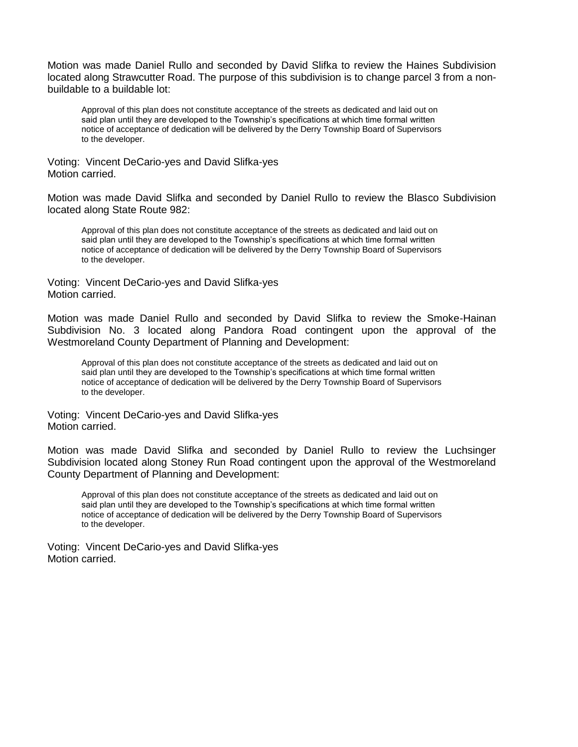Motion was made Daniel Rullo and seconded by David Slifka to review the Haines Subdivision located along Strawcutter Road. The purpose of this subdivision is to change parcel 3 from a nonbuildable to a buildable lot:

Approval of this plan does not constitute acceptance of the streets as dedicated and laid out on said plan until they are developed to the Township's specifications at which time formal written notice of acceptance of dedication will be delivered by the Derry Township Board of Supervisors to the developer.

Voting: Vincent DeCario-yes and David Slifka-yes Motion carried.

Motion was made David Slifka and seconded by Daniel Rullo to review the Blasco Subdivision located along State Route 982:

Approval of this plan does not constitute acceptance of the streets as dedicated and laid out on said plan until they are developed to the Township's specifications at which time formal written notice of acceptance of dedication will be delivered by the Derry Township Board of Supervisors to the developer.

Voting: Vincent DeCario-yes and David Slifka-yes Motion carried.

Motion was made Daniel Rullo and seconded by David Slifka to review the Smoke-Hainan Subdivision No. 3 located along Pandora Road contingent upon the approval of the Westmoreland County Department of Planning and Development:

Approval of this plan does not constitute acceptance of the streets as dedicated and laid out on said plan until they are developed to the Township's specifications at which time formal written notice of acceptance of dedication will be delivered by the Derry Township Board of Supervisors to the developer.

Voting: Vincent DeCario-yes and David Slifka-yes Motion carried.

Motion was made David Slifka and seconded by Daniel Rullo to review the Luchsinger Subdivision located along Stoney Run Road contingent upon the approval of the Westmoreland County Department of Planning and Development:

Approval of this plan does not constitute acceptance of the streets as dedicated and laid out on said plan until they are developed to the Township's specifications at which time formal written notice of acceptance of dedication will be delivered by the Derry Township Board of Supervisors to the developer.

Voting: Vincent DeCario-yes and David Slifka-yes Motion carried.